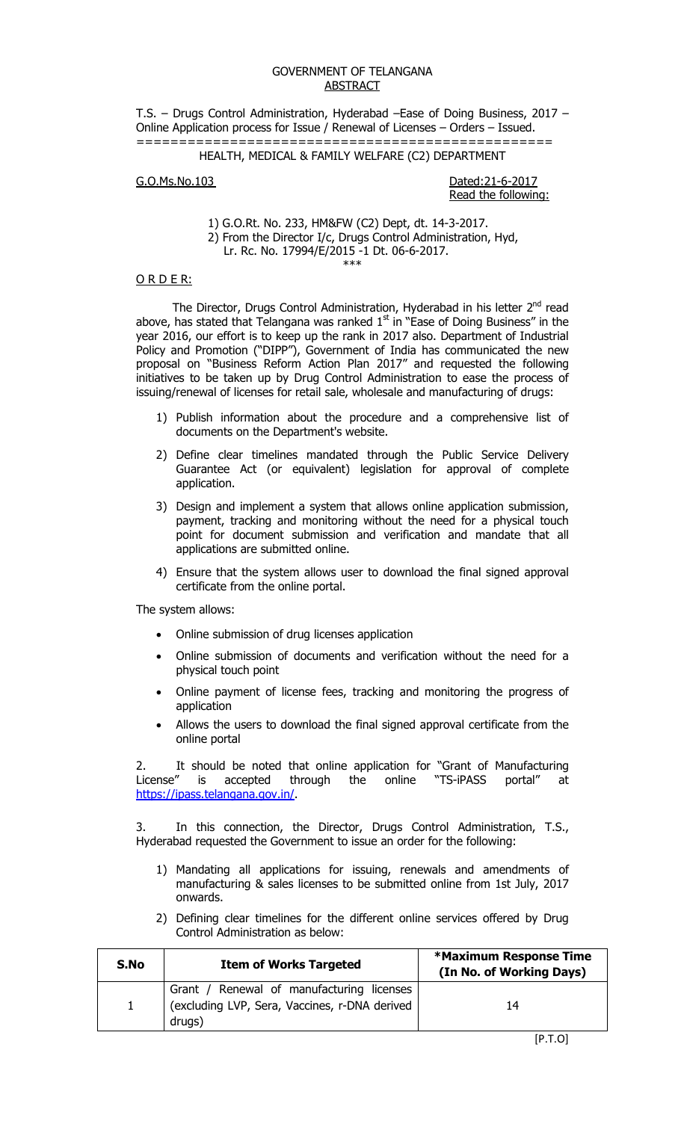#### GOVERNMENT OF TELANGANA ABSTRACT

T.S. – Drugs Control Administration, Hyderabad –Ease of Doing Business, 2017 – Online Application process for Issue / Renewal of Licenses – Orders – Issued. =================================================

## HEALTH, MEDICAL & FAMILY WELFARE (C2) DEPARTMENT

G.O.Ms.No.103 Dated:21-6-2017

Read the following:

 1) G.O.Rt. No. 233, HM&FW (C2) Dept, dt. 14-3-2017. 2) From the Director I/c, Drugs Control Administration, Hyd,

 Lr. Rc. No. 17994/E/2015 -1 Dt. 06-6-2017. \*\*\*

#### O R D E R:

The Director, Drugs Control Administration, Hyderabad in his letter 2<sup>nd</sup> read above, has stated that Telangana was ranked  $1<sup>st</sup>$  in "Ease of Doing Business" in the year 2016, our effort is to keep up the rank in 2017 also. Department of Industrial Policy and Promotion ("DIPP"), Government of India has communicated the new proposal on "Business Reform Action Plan 2017" and requested the following initiatives to be taken up by Drug Control Administration to ease the process of issuing/renewal of licenses for retail sale, wholesale and manufacturing of drugs:

- 1) Publish information about the procedure and a comprehensive list of documents on the Department's website.
- 2) Define clear timelines mandated through the Public Service Delivery Guarantee Act (or equivalent) legislation for approval of complete application.
- 3) Design and implement a system that allows online application submission, payment, tracking and monitoring without the need for a physical touch point for document submission and verification and mandate that all applications are submitted online.
- 4) Ensure that the system allows user to download the final signed approval certificate from the online portal.

The system allows:

- Online submission of drug licenses application
- Online submission of documents and verification without the need for a physical touch point
- Online payment of license fees, tracking and monitoring the progress of application
- Allows the users to download the final signed approval certificate from the online portal

2. It should be noted that online application for "Grant of Manufacturing License" is accepted through the online "TS-iPASS portal" at License" is accepted through the online "TS-iPASS portal" at https://ipass.telangana.gov.in/.

3. In this connection, the Director, Drugs Control Administration, T.S., Hyderabad requested the Government to issue an order for the following:

- 1) Mandating all applications for issuing, renewals and amendments of manufacturing & sales licenses to be submitted online from 1st July, 2017 onwards.
- 2) Defining clear timelines for the different online services offered by Drug Control Administration as below:

| S.No         | <b>Item of Works Targeted</b>                                                                          | <b>*Maximum Response Time</b><br>(In No. of Working Days) |
|--------------|--------------------------------------------------------------------------------------------------------|-----------------------------------------------------------|
| $\mathbf{1}$ | Grant / Renewal of manufacturing licenses<br>(excluding LVP, Sera, Vaccines, r-DNA derived  <br>drugs) | 14                                                        |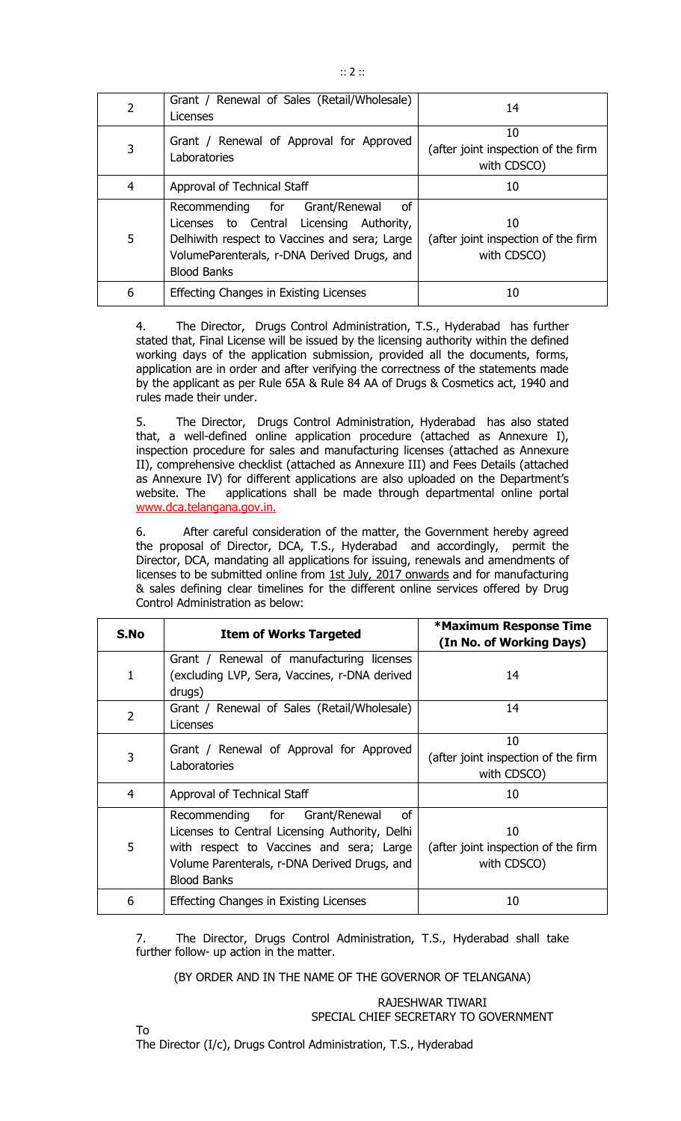| 2 | Grant / Renewal of Sales (Retail/Wholesale)<br>Licenses                                                                                                                                                   | 14                                                       |  |
|---|-----------------------------------------------------------------------------------------------------------------------------------------------------------------------------------------------------------|----------------------------------------------------------|--|
| 3 | Grant / Renewal of Approval for Approved<br>Laboratories                                                                                                                                                  | 10<br>(after joint inspection of the firm<br>with CDSCO) |  |
| 4 | Approval of Technical Staff                                                                                                                                                                               | 10                                                       |  |
| 5 | Recommending for<br>Grant/Renewal<br>οf<br>Licenses to Central Licensing Authority,<br>Delhiwith respect to Vaccines and sera; Large<br>VolumeParenterals, r-DNA Derived Drugs, and<br><b>Blood Banks</b> | 10<br>(after joint inspection of the firm<br>with CDSCO) |  |
| 6 | Effecting Changes in Existing Licenses                                                                                                                                                                    | 10                                                       |  |

4. The Director, Drugs Control Administration, T.S., Hyderabad has further stated that, Final License will be issued by the licensing authority within the defined working days of the application submission, provided all the documents, forms, application are in order and after verifying the correctness of the statements made by the applicant as per Rule 65A & Rule 84 AA of Drugs & Cosmetics act, 1940 and rules made their under.

5. The Director, Drugs Control Administration, Hyderabad has also stated that, a well-defined online application procedure (attached as Annexure I), inspection procedure for sales and manufacturing licenses (attached as Annexure II), comprehensive checklist (attached as Annexure III) and Fees Details (attached as Annexure IV) for different applications are also uploaded on the Department's website. The applications shall be made through departmental online portal www.dca.telangana.gov.in.

6. After careful consideration of the matter, the Government hereby agreed the proposal of Director, DCA, T.S., Hyderabad and accordingly, permit the Director, DCA, mandating all applications for issuing, renewals and amendments of licenses to be submitted online from 1st July, 2017 onwards and for manufacturing & sales defining clear timelines for the different online services offered by Drug Control Administration as below:

| S.No           | <b>Item of Works Targeted</b>                                                                                                                                                                            | *Maximum Response Time<br>(In No. of Working Days)       |  |  |
|----------------|----------------------------------------------------------------------------------------------------------------------------------------------------------------------------------------------------------|----------------------------------------------------------|--|--|
| 1              | Grant / Renewal of manufacturing licenses<br>(excluding LVP, Sera, Vaccines, r-DNA derived<br>drugs)                                                                                                     | 14                                                       |  |  |
| $\overline{2}$ | Grant / Renewal of Sales (Retail/Wholesale)<br>Licenses                                                                                                                                                  | 14                                                       |  |  |
| 3              | Grant / Renewal of Approval for Approved<br>Laboratories                                                                                                                                                 | 10<br>(after joint inspection of the firm<br>with CDSCO) |  |  |
| 4              | Approval of Technical Staff                                                                                                                                                                              | 10                                                       |  |  |
| 5              | Recommending for Grant/Renewal<br>οf<br>Licenses to Central Licensing Authority, Delhi<br>with respect to Vaccines and sera; Large<br>Volume Parenterals, r-DNA Derived Drugs, and<br><b>Blood Banks</b> | 10<br>(after joint inspection of the firm<br>with CDSCO) |  |  |
| 6              | Effecting Changes in Existing Licenses                                                                                                                                                                   | 10                                                       |  |  |

7. The Director, Drugs Control Administration, T.S., Hyderabad shall take further follow- up action in the matter.

(BY ORDER AND IN THE NAME OF THE GOVERNOR OF TELANGANA)

RAJESHWAR TIWARI SPECIAL CHIEF SECRETARY TO GOVERNMENT

To The Director (I/c), Drugs Control Administration, T.S., Hyderabad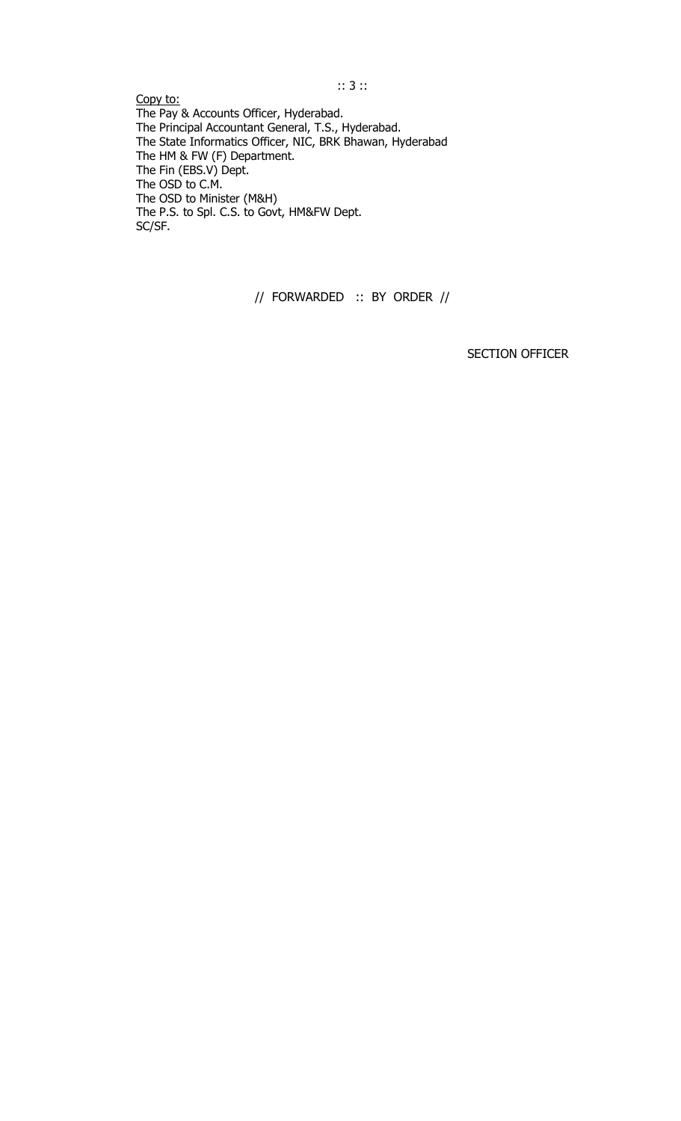Copy to: The Pay & Accounts Officer, Hyderabad. The Principal Accountant General, T.S., Hyderabad. The State Informatics Officer, NIC, BRK Bhawan, Hyderabad The HM & FW (F) Department. The Fin (EBS.V) Dept. The OSD to C.M. The OSD to Minister (M&H) The P.S. to Spl. C.S. to Govt, HM&FW Dept. SC/SF.

// FORWARDED :: BY ORDER //

SECTION OFFICER

## :: 3 ::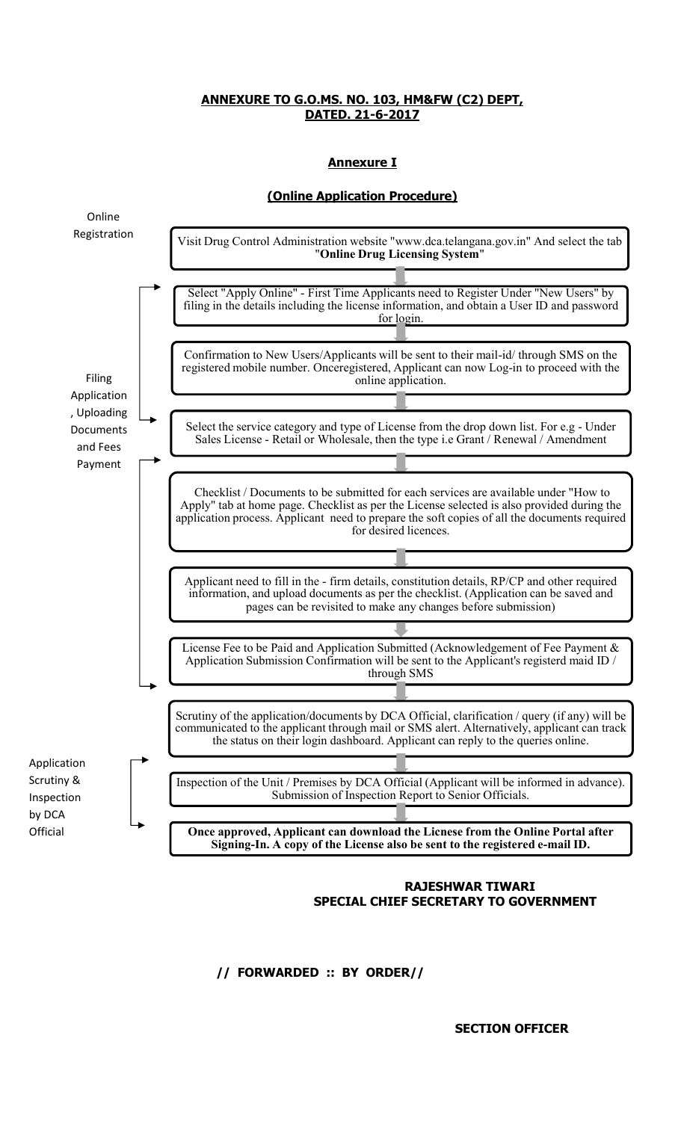# **Annexure I**





# **RAJESHWAR TIWARI SPECIAL CHIEF SECRETARY TO GOVERNMENT**

**// FORWARDED :: BY ORDER//** 

**SECTION OFFICER**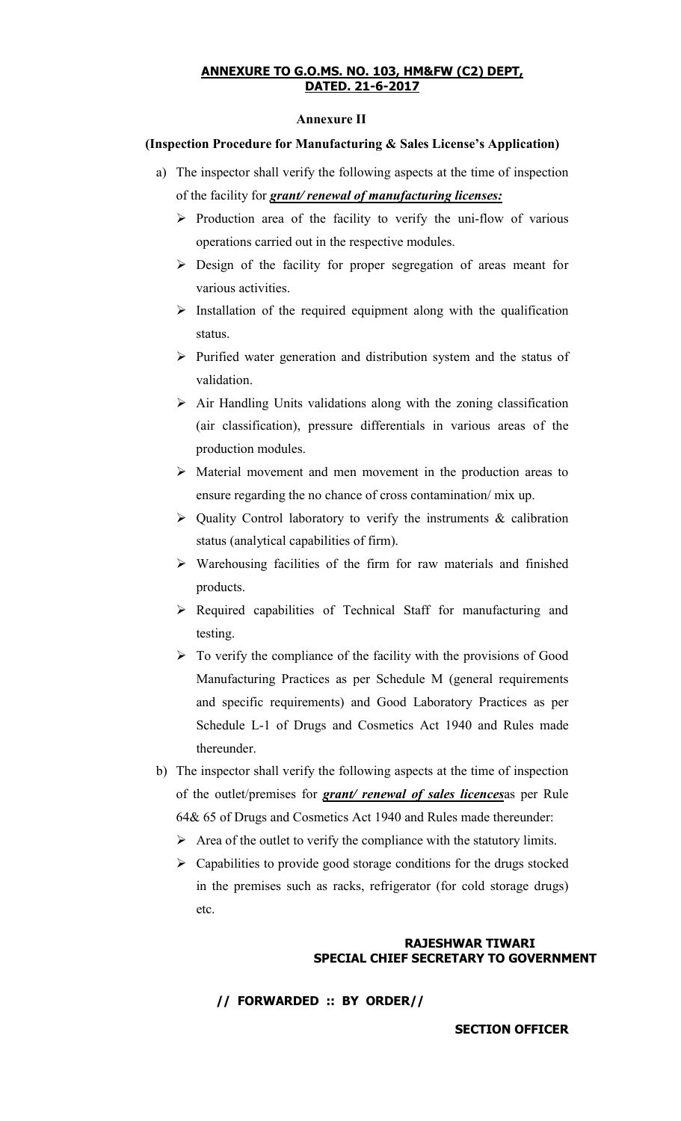#### **Annexure II**

## **(Inspection Procedure for Manufacturing & Sales License's Application)**

- a) The inspector shall verify the following aspects at the time of inspection of the facility for *grant/ renewal of manufacturing licenses:*
	- $\triangleright$  Production area of the facility to verify the uni-flow of various operations carried out in the respective modules.
	- $\triangleright$  Design of the facility for proper segregation of areas meant for various activities.
	- $\triangleright$  Installation of the required equipment along with the qualification status.
	- $\triangleright$  Purified water generation and distribution system and the status of validation.
	- $\triangleright$  Air Handling Units validations along with the zoning classification (air classification), pressure differentials in various areas of the production modules.
	- ¾ Material movement and men movement in the production areas to ensure regarding the no chance of cross contamination/ mix up.
	- $\triangleright$  Quality Control laboratory to verify the instruments & calibration status (analytical capabilities of firm).
	- $\triangleright$  Warehousing facilities of the firm for raw materials and finished products.
	- ¾ Required capabilities of Technical Staff for manufacturing and testing.
	- $\triangleright$  To verify the compliance of the facility with the provisions of Good Manufacturing Practices as per Schedule M (general requirements and specific requirements) and Good Laboratory Practices as per Schedule L-1 of Drugs and Cosmetics Act 1940 and Rules made thereunder.
- b) The inspector shall verify the following aspects at the time of inspection of the outlet/premises for *grant/ renewal of sales licences*as per Rule 64& 65 of Drugs and Cosmetics Act 1940 and Rules made thereunder:
	- $\triangleright$  Area of the outlet to verify the compliance with the statutory limits.
	- $\triangleright$  Capabilities to provide good storage conditions for the drugs stocked in the premises such as racks, refrigerator (for cold storage drugs) etc.

## **RAJESHWAR TIWARI SPECIAL CHIEF SECRETARY TO GOVERNMENT**

**// FORWARDED :: BY ORDER//** 

**SECTION OFFICER**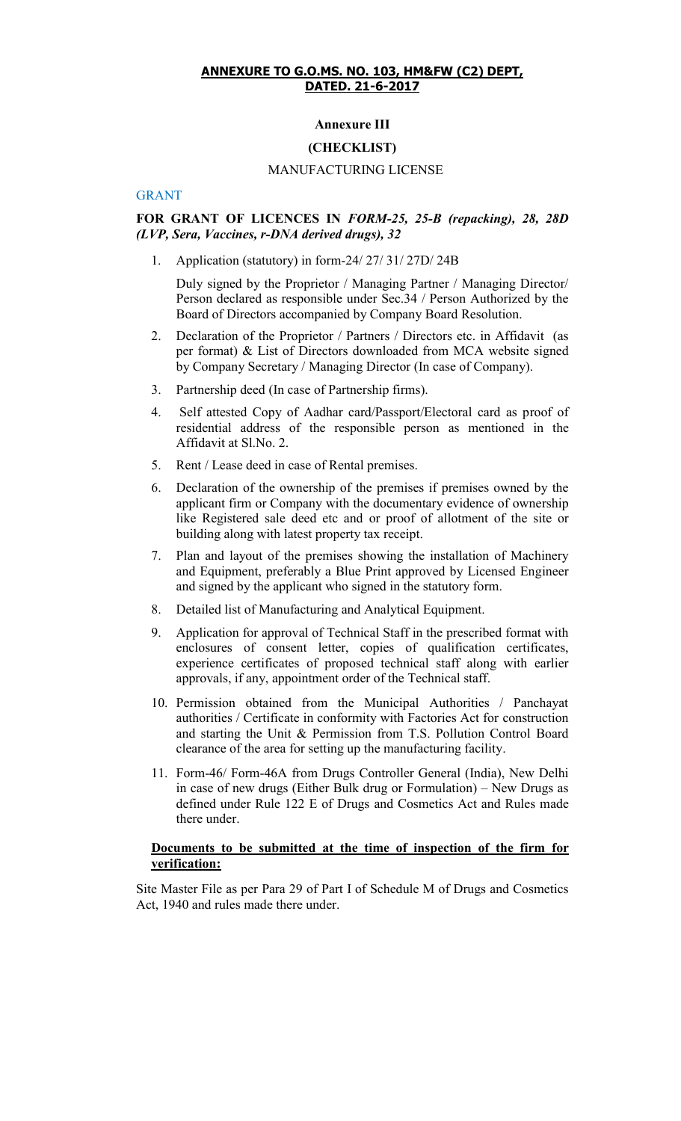## **Annexure III**

## **(CHECKLIST)**

#### MANUFACTURING LICENSE

#### GRANT

### **FOR GRANT OF LICENCES IN** *FORM-25, 25-B (repacking), 28, 28D (LVP, Sera, Vaccines, r-DNA derived drugs), 32*

1. Application (statutory) in form-24/ 27/ 31/ 27D/ 24B

Duly signed by the Proprietor / Managing Partner / Managing Director/ Person declared as responsible under Sec.34 / Person Authorized by the Board of Directors accompanied by Company Board Resolution.

- 2. Declaration of the Proprietor / Partners / Directors etc. in Affidavit (as per format) & List of Directors downloaded from MCA website signed by Company Secretary / Managing Director (In case of Company).
- 3. Partnership deed (In case of Partnership firms).
- 4. Self attested Copy of Aadhar card/Passport/Electoral card as proof of residential address of the responsible person as mentioned in the Affidavit at Sl.No. 2.
- 5. Rent / Lease deed in case of Rental premises.
- 6. Declaration of the ownership of the premises if premises owned by the applicant firm or Company with the documentary evidence of ownership like Registered sale deed etc and or proof of allotment of the site or building along with latest property tax receipt.
- 7. Plan and layout of the premises showing the installation of Machinery and Equipment, preferably a Blue Print approved by Licensed Engineer and signed by the applicant who signed in the statutory form.
- 8. Detailed list of Manufacturing and Analytical Equipment.
- 9. Application for approval of Technical Staff in the prescribed format with enclosures of consent letter, copies of qualification certificates, experience certificates of proposed technical staff along with earlier approvals, if any, appointment order of the Technical staff.
- 10. Permission obtained from the Municipal Authorities / Panchayat authorities / Certificate in conformity with Factories Act for construction and starting the Unit & Permission from T.S. Pollution Control Board clearance of the area for setting up the manufacturing facility.
- 11. Form-46/ Form-46A from Drugs Controller General (India), New Delhi in case of new drugs (Either Bulk drug or Formulation) – New Drugs as defined under Rule 122 E of Drugs and Cosmetics Act and Rules made there under.

#### **Documents to be submitted at the time of inspection of the firm for verification:**

Site Master File as per Para 29 of Part I of Schedule M of Drugs and Cosmetics Act, 1940 and rules made there under.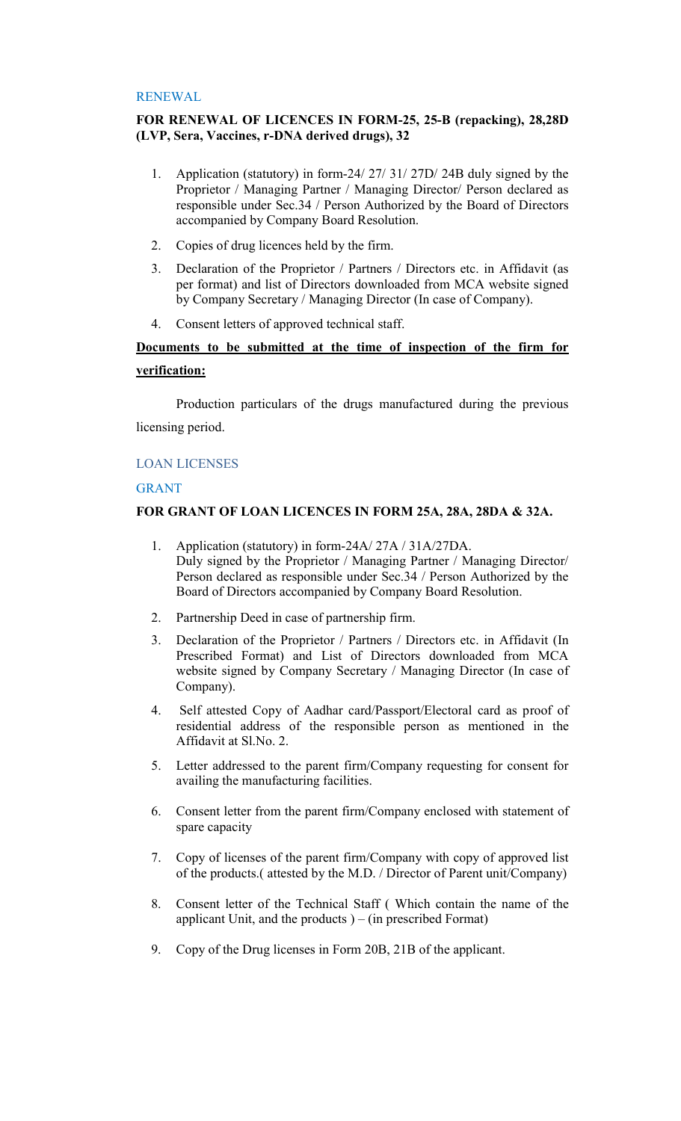## RENEWAL

## **FOR RENEWAL OF LICENCES IN FORM-25, 25-B (repacking), 28,28D (LVP, Sera, Vaccines, r-DNA derived drugs), 32**

- 1. Application (statutory) in form-24/ 27/ 31/ 27D/ 24B duly signed by the Proprietor / Managing Partner / Managing Director/ Person declared as responsible under Sec.34 / Person Authorized by the Board of Directors accompanied by Company Board Resolution.
- 2. Copies of drug licences held by the firm.
- 3. Declaration of the Proprietor / Partners / Directors etc. in Affidavit (as per format) and list of Directors downloaded from MCA website signed by Company Secretary / Managing Director (In case of Company).
- 4. Consent letters of approved technical staff.

# **Documents to be submitted at the time of inspection of the firm for verification:**

Production particulars of the drugs manufactured during the previous licensing period.

## LOAN LICENSES

## GRANT

# **FOR GRANT OF LOAN LICENCES IN FORM 25A, 28A, 28DA & 32A.**

- 1. Application (statutory) in form-24A/ 27A / 31A/27DA. Duly signed by the Proprietor / Managing Partner / Managing Director/ Person declared as responsible under Sec.34 / Person Authorized by the Board of Directors accompanied by Company Board Resolution.
- 2. Partnership Deed in case of partnership firm.
- 3. Declaration of the Proprietor / Partners / Directors etc. in Affidavit (In Prescribed Format) and List of Directors downloaded from MCA website signed by Company Secretary / Managing Director (In case of Company).
- 4. Self attested Copy of Aadhar card/Passport/Electoral card as proof of residential address of the responsible person as mentioned in the Affidavit at Sl.No. 2.
- 5. Letter addressed to the parent firm/Company requesting for consent for availing the manufacturing facilities.
- 6. Consent letter from the parent firm/Company enclosed with statement of spare capacity
- 7. Copy of licenses of the parent firm/Company with copy of approved list of the products.( attested by the M.D. / Director of Parent unit/Company)
- 8. Consent letter of the Technical Staff ( Which contain the name of the applicant Unit, and the products  $) - ($ in prescribed Format $)$
- 9. Copy of the Drug licenses in Form 20B, 21B of the applicant.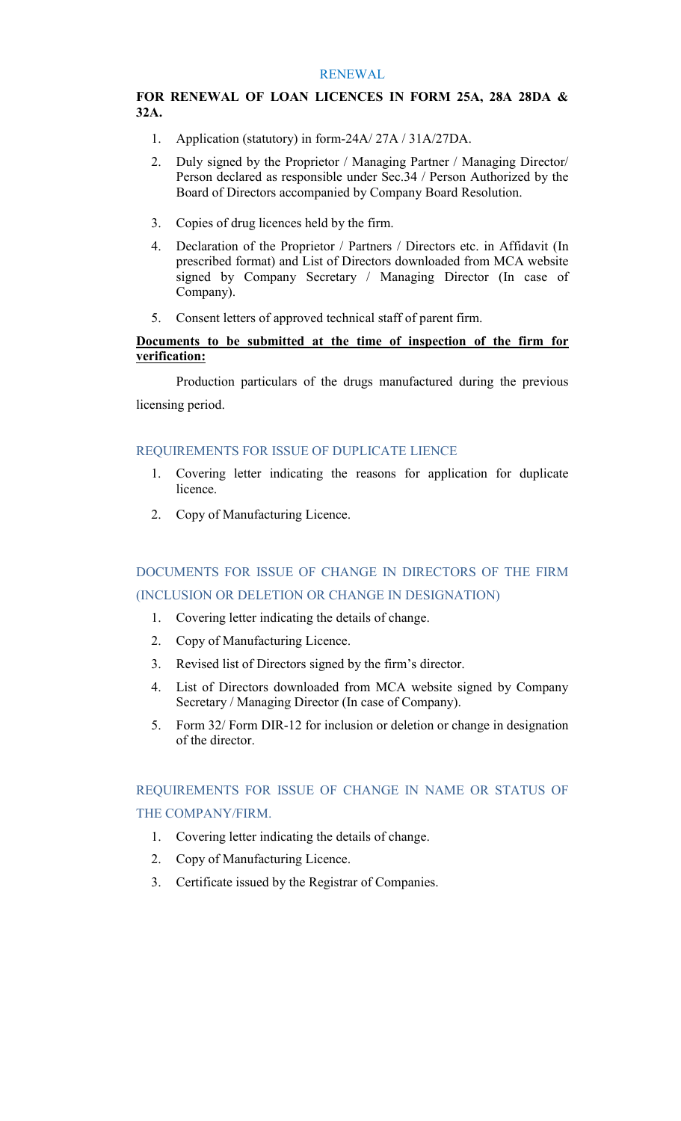#### RENEWAL

# **FOR RENEWAL OF LOAN LICENCES IN FORM 25A, 28A 28DA & 32A.**

- 1. Application (statutory) in form-24A/ 27A / 31A/27DA.
- 2. Duly signed by the Proprietor / Managing Partner / Managing Director/ Person declared as responsible under Sec.34 / Person Authorized by the Board of Directors accompanied by Company Board Resolution.
- 3. Copies of drug licences held by the firm.
- 4. Declaration of the Proprietor / Partners / Directors etc. in Affidavit (In prescribed format) and List of Directors downloaded from MCA website signed by Company Secretary / Managing Director (In case of Company).
- 5. Consent letters of approved technical staff of parent firm.

# **Documents to be submitted at the time of inspection of the firm for verification:**

Production particulars of the drugs manufactured during the previous licensing period.

# REQUIREMENTS FOR ISSUE OF DUPLICATE LIENCE

- 1. Covering letter indicating the reasons for application for duplicate licence.
- 2. Copy of Manufacturing Licence.

# DOCUMENTS FOR ISSUE OF CHANGE IN DIRECTORS OF THE FIRM (INCLUSION OR DELETION OR CHANGE IN DESIGNATION)

- 1. Covering letter indicating the details of change.
- 2. Copy of Manufacturing Licence.
- 3. Revised list of Directors signed by the firm's director.
- 4. List of Directors downloaded from MCA website signed by Company Secretary / Managing Director (In case of Company).
- 5. Form 32/ Form DIR-12 for inclusion or deletion or change in designation of the director.

# REQUIREMENTS FOR ISSUE OF CHANGE IN NAME OR STATUS OF THE COMPANY/FIRM.

- 1. Covering letter indicating the details of change.
- 2. Copy of Manufacturing Licence.
- 3. Certificate issued by the Registrar of Companies.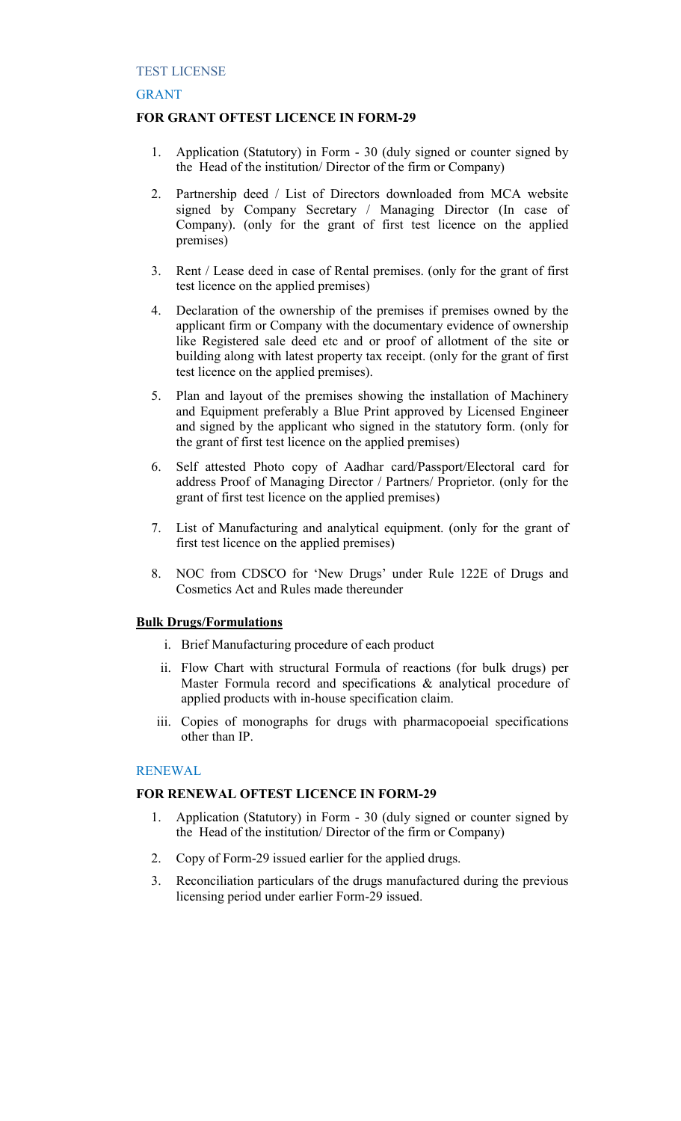## GRANT

## **FOR GRANT OFTEST LICENCE IN FORM-29**

- 1. Application (Statutory) in Form 30 (duly signed or counter signed by the Head of the institution/ Director of the firm or Company)
- 2. Partnership deed / List of Directors downloaded from MCA website signed by Company Secretary / Managing Director (In case of Company). (only for the grant of first test licence on the applied premises)
- 3. Rent / Lease deed in case of Rental premises. (only for the grant of first test licence on the applied premises)
- 4. Declaration of the ownership of the premises if premises owned by the applicant firm or Company with the documentary evidence of ownership like Registered sale deed etc and or proof of allotment of the site or building along with latest property tax receipt. (only for the grant of first test licence on the applied premises).
- 5. Plan and layout of the premises showing the installation of Machinery and Equipment preferably a Blue Print approved by Licensed Engineer and signed by the applicant who signed in the statutory form. (only for the grant of first test licence on the applied premises)
- 6. Self attested Photo copy of Aadhar card/Passport/Electoral card for address Proof of Managing Director / Partners/ Proprietor. (only for the grant of first test licence on the applied premises)
- 7. List of Manufacturing and analytical equipment. (only for the grant of first test licence on the applied premises)
- 8. NOC from CDSCO for 'New Drugs' under Rule 122E of Drugs and Cosmetics Act and Rules made thereunder

#### **Bulk Drugs/Formulations**

- i. Brief Manufacturing procedure of each product
- ii. Flow Chart with structural Formula of reactions (for bulk drugs) per Master Formula record and specifications & analytical procedure of applied products with in-house specification claim.
- iii. Copies of monographs for drugs with pharmacopoeial specifications other than IP.

## RENEWAL

#### **FOR RENEWAL OFTEST LICENCE IN FORM-29**

- 1. Application (Statutory) in Form 30 (duly signed or counter signed by the Head of the institution/ Director of the firm or Company)
- 2. Copy of Form-29 issued earlier for the applied drugs.
- 3. Reconciliation particulars of the drugs manufactured during the previous licensing period under earlier Form-29 issued.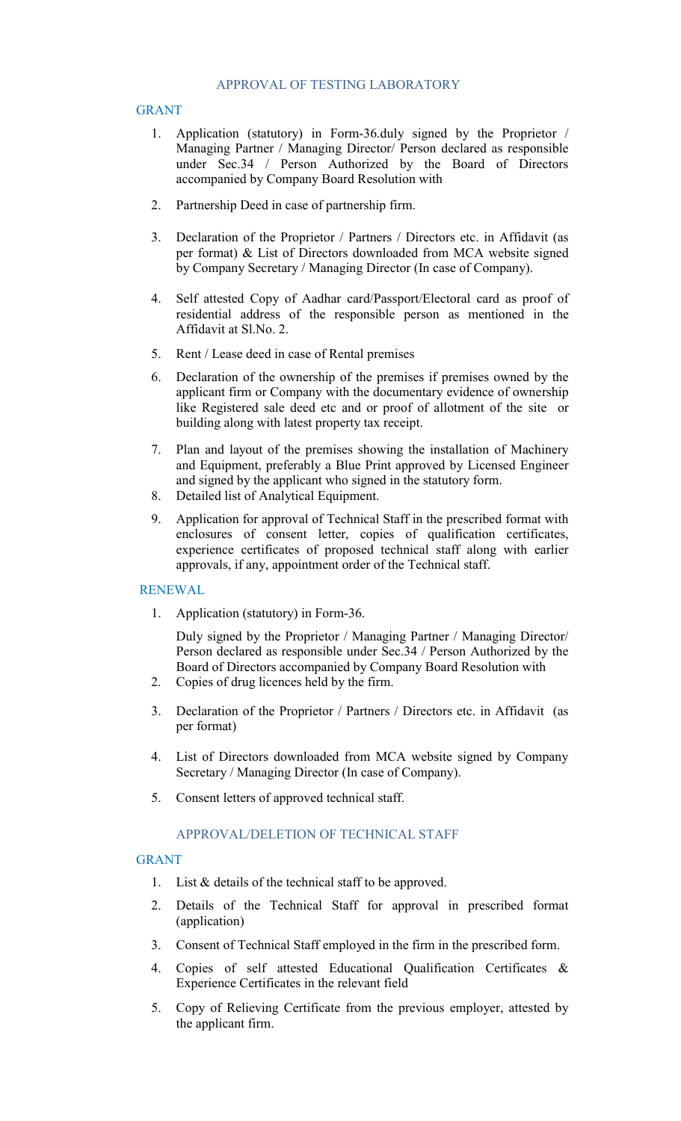## GRANT

- 1. Application (statutory) in Form-36.duly signed by the Proprietor / Managing Partner / Managing Director/ Person declared as responsible under Sec.34 / Person Authorized by the Board of Directors accompanied by Company Board Resolution with
- 2. Partnership Deed in case of partnership firm.
- 3. Declaration of the Proprietor / Partners / Directors etc. in Affidavit (as per format) & List of Directors downloaded from MCA website signed by Company Secretary / Managing Director (In case of Company).
- 4. Self attested Copy of Aadhar card/Passport/Electoral card as proof of residential address of the responsible person as mentioned in the Affidavit at Sl.No. 2.
- 5. Rent / Lease deed in case of Rental premises
- 6. Declaration of the ownership of the premises if premises owned by the applicant firm or Company with the documentary evidence of ownership like Registered sale deed etc and or proof of allotment of the site or building along with latest property tax receipt.
- 7. Plan and layout of the premises showing the installation of Machinery and Equipment, preferably a Blue Print approved by Licensed Engineer and signed by the applicant who signed in the statutory form.
- 8. Detailed list of Analytical Equipment.
- 9. Application for approval of Technical Staff in the prescribed format with enclosures of consent letter, copies of qualification certificates, experience certificates of proposed technical staff along with earlier approvals, if any, appointment order of the Technical staff.

# RENEWAL

1. Application (statutory) in Form-36.

Duly signed by the Proprietor / Managing Partner / Managing Director/ Person declared as responsible under Sec.34 / Person Authorized by the Board of Directors accompanied by Company Board Resolution with

- 2. Copies of drug licences held by the firm.
- 3. Declaration of the Proprietor / Partners / Directors etc. in Affidavit (as per format)
- 4. List of Directors downloaded from MCA website signed by Company Secretary / Managing Director (In case of Company).
- 5. Consent letters of approved technical staff.

# APPROVAL/DELETION OF TECHNICAL STAFF

#### GRANT

- 1. List & details of the technical staff to be approved.
- 2. Details of the Technical Staff for approval in prescribed format (application)
- 3. Consent of Technical Staff employed in the firm in the prescribed form.
- 4. Copies of self attested Educational Qualification Certificates & Experience Certificates in the relevant field
- 5. Copy of Relieving Certificate from the previous employer, attested by the applicant firm.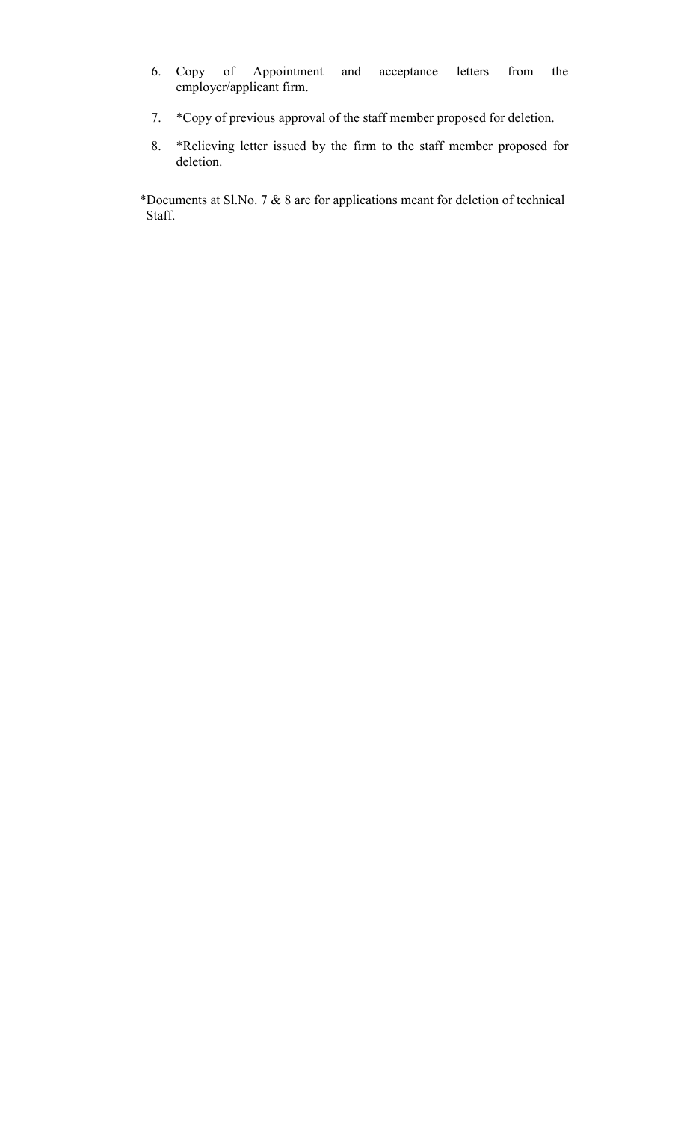- 6. Copy of Appointment and acceptance letters from the employer/applicant firm.
- 7. \*Copy of previous approval of the staff member proposed for deletion.
- 8. \*Relieving letter issued by the firm to the staff member proposed for deletion.

\*Documents at Sl.No. 7 & 8 are for applications meant for deletion of technical Staff.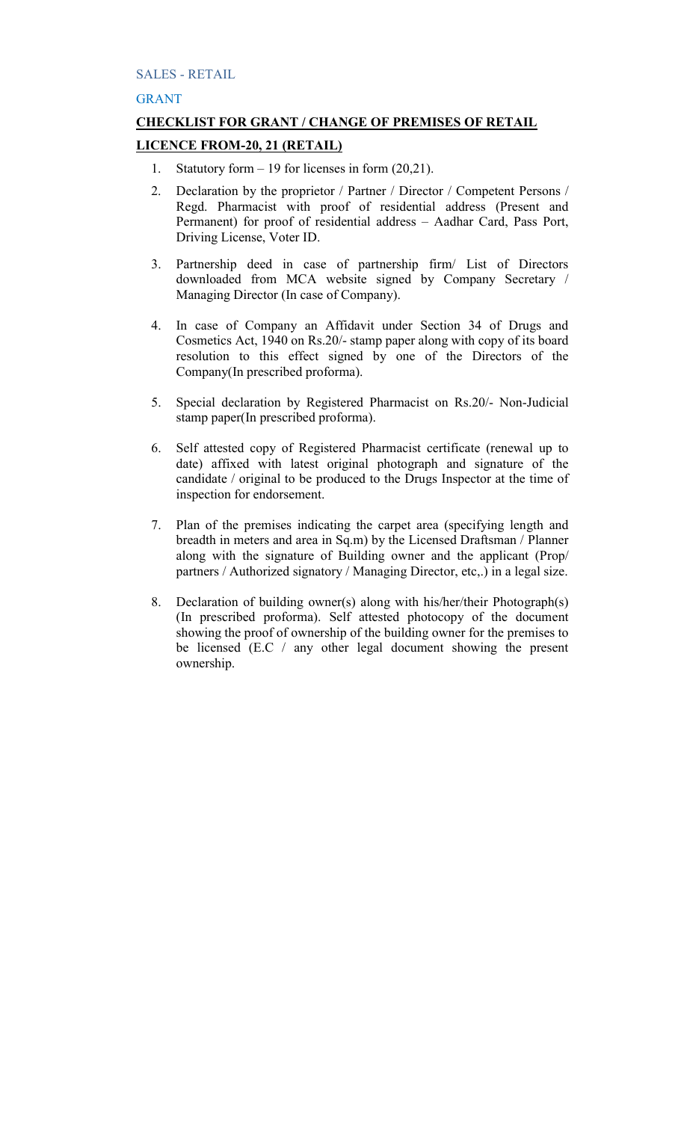# SALES - RETAIL

# GRANT

# **CHECKLIST FOR GRANT / CHANGE OF PREMISES OF RETAIL LICENCE FROM-20, 21 (RETAIL)**

- 1. Statutory form 19 for licenses in form (20,21).
- 2. Declaration by the proprietor / Partner / Director / Competent Persons / Regd. Pharmacist with proof of residential address (Present and Permanent) for proof of residential address – Aadhar Card, Pass Port, Driving License, Voter ID.
- 3. Partnership deed in case of partnership firm/ List of Directors downloaded from MCA website signed by Company Secretary / Managing Director (In case of Company).
- 4. In case of Company an Affidavit under Section 34 of Drugs and Cosmetics Act, 1940 on Rs.20/- stamp paper along with copy of its board resolution to this effect signed by one of the Directors of the Company(In prescribed proforma).
- 5. Special declaration by Registered Pharmacist on Rs.20/- Non-Judicial stamp paper(In prescribed proforma).
- 6. Self attested copy of Registered Pharmacist certificate (renewal up to date) affixed with latest original photograph and signature of the candidate / original to be produced to the Drugs Inspector at the time of inspection for endorsement.
- 7. Plan of the premises indicating the carpet area (specifying length and breadth in meters and area in Sq.m) by the Licensed Draftsman / Planner along with the signature of Building owner and the applicant (Prop/ partners / Authorized signatory / Managing Director, etc,.) in a legal size.
- 8. Declaration of building owner(s) along with his/her/their Photograph(s) (In prescribed proforma). Self attested photocopy of the document showing the proof of ownership of the building owner for the premises to be licensed (E.C / any other legal document showing the present ownership.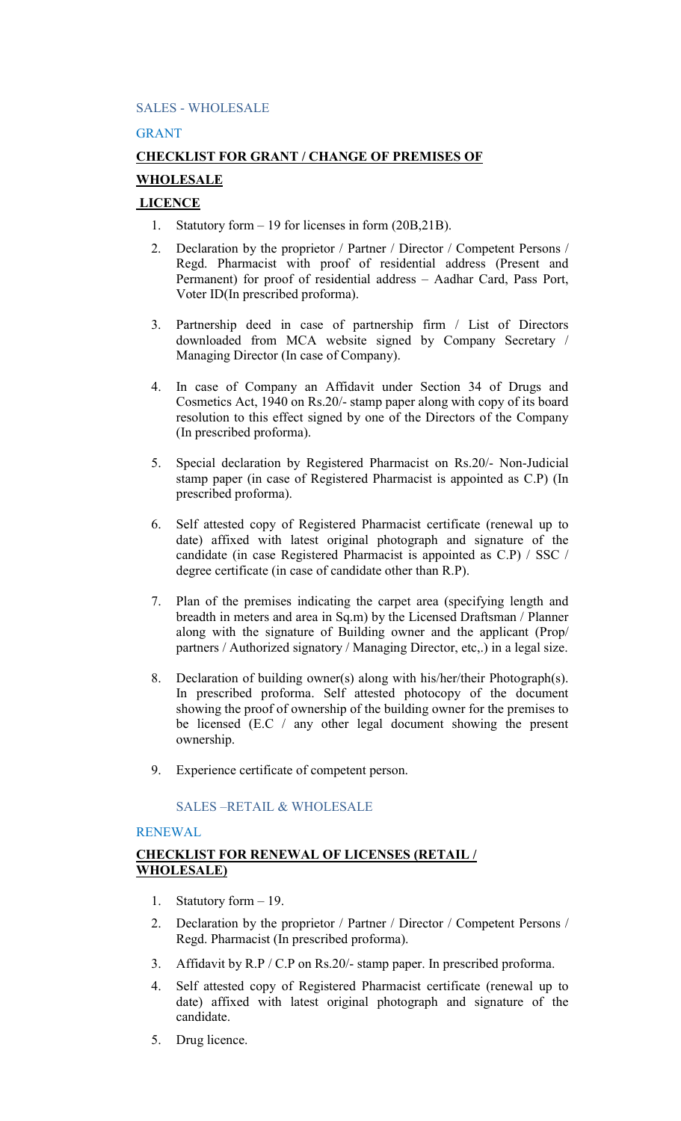## SALES - WHOLESALE

## GRANT

# **CHECKLIST FOR GRANT / CHANGE OF PREMISES OF WHOLESALE**

# **LICENCE**

- 1. Statutory form 19 for licenses in form (20B,21B).
- 2. Declaration by the proprietor / Partner / Director / Competent Persons / Regd. Pharmacist with proof of residential address (Present and Permanent) for proof of residential address – Aadhar Card, Pass Port, Voter ID(In prescribed proforma).
- 3. Partnership deed in case of partnership firm / List of Directors downloaded from MCA website signed by Company Secretary / Managing Director (In case of Company).
- 4. In case of Company an Affidavit under Section 34 of Drugs and Cosmetics Act, 1940 on Rs.20/- stamp paper along with copy of its board resolution to this effect signed by one of the Directors of the Company (In prescribed proforma).
- 5. Special declaration by Registered Pharmacist on Rs.20/- Non-Judicial stamp paper (in case of Registered Pharmacist is appointed as C.P) (In prescribed proforma).
- 6. Self attested copy of Registered Pharmacist certificate (renewal up to date) affixed with latest original photograph and signature of the candidate (in case Registered Pharmacist is appointed as C.P) / SSC / degree certificate (in case of candidate other than R.P).
- 7. Plan of the premises indicating the carpet area (specifying length and breadth in meters and area in Sq.m) by the Licensed Draftsman / Planner along with the signature of Building owner and the applicant (Prop/ partners / Authorized signatory / Managing Director, etc,.) in a legal size.
- 8. Declaration of building owner(s) along with his/her/their Photograph(s). In prescribed proforma. Self attested photocopy of the document showing the proof of ownership of the building owner for the premises to be licensed (E.C / any other legal document showing the present ownership.
- 9. Experience certificate of competent person.

# SALES –RETAIL & WHOLESALE

# RENEWAL

# **CHECKLIST FOR RENEWAL OF LICENSES (RETAIL / WHOLESALE)**

- 1. Statutory form 19.
- 2. Declaration by the proprietor / Partner / Director / Competent Persons / Regd. Pharmacist (In prescribed proforma).
- 3. Affidavit by R.P / C.P on Rs.20/- stamp paper. In prescribed proforma.
- 4. Self attested copy of Registered Pharmacist certificate (renewal up to date) affixed with latest original photograph and signature of the candidate.
- 5. Drug licence.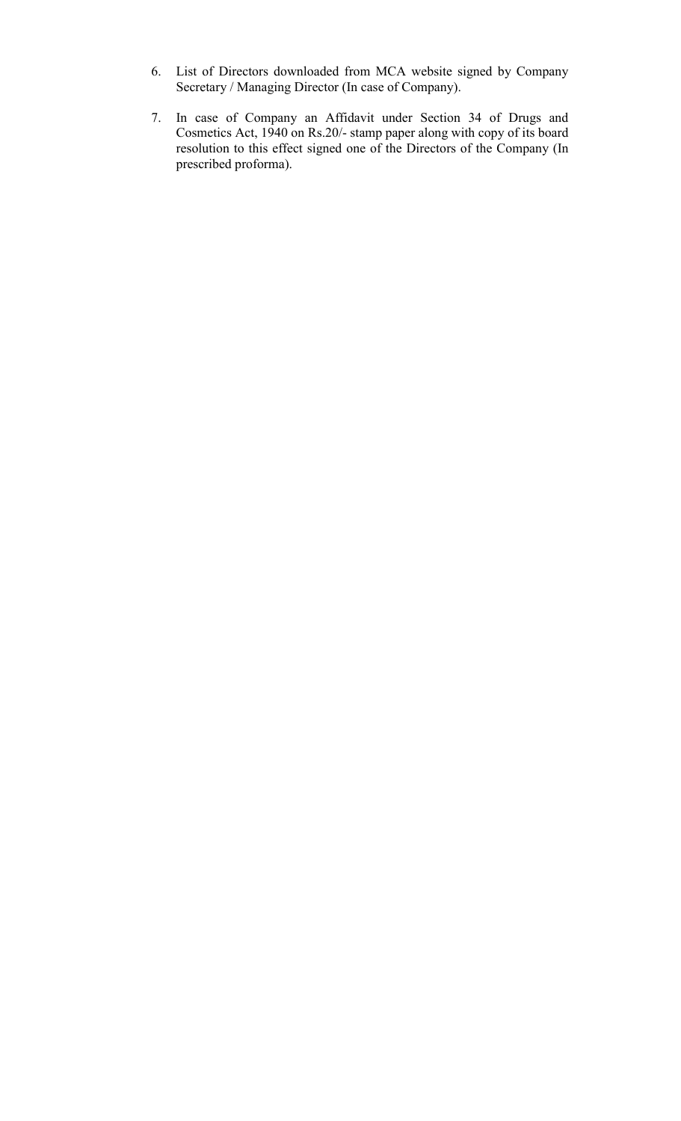- 6. List of Directors downloaded from MCA website signed by Company Secretary / Managing Director (In case of Company).
- 7. In case of Company an Affidavit under Section 34 of Drugs and Cosmetics Act, 1940 on Rs.20/- stamp paper along with copy of its board resolution to this effect signed one of the Directors of the Company (In prescribed proforma).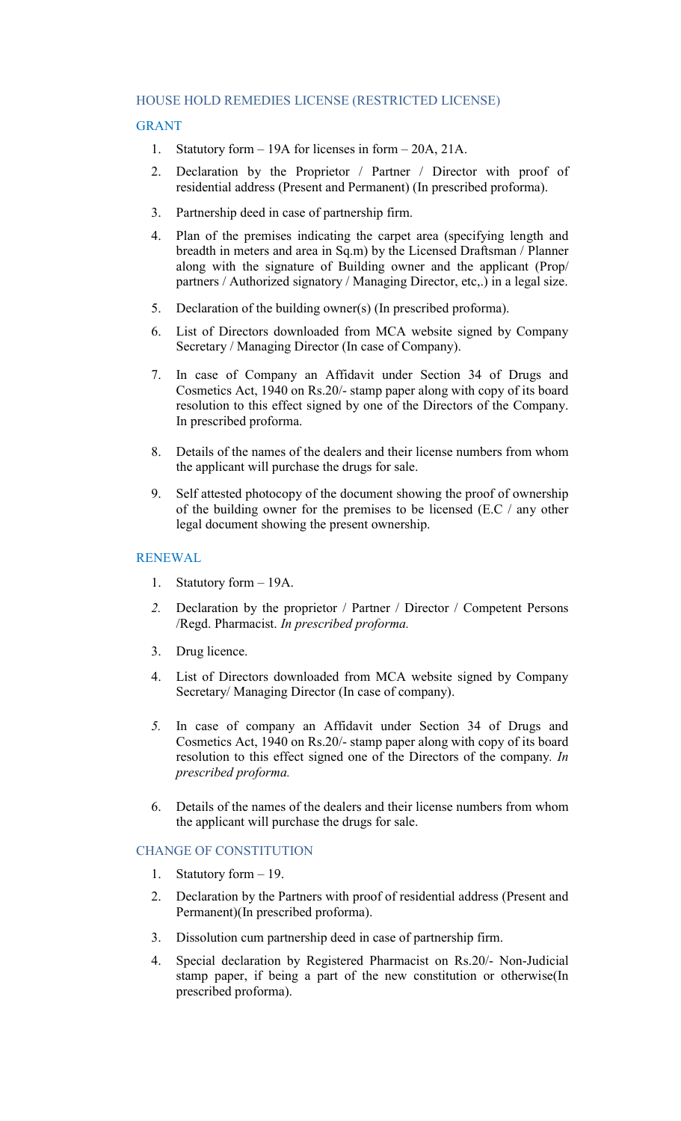## HOUSE HOLD REMEDIES LICENSE (RESTRICTED LICENSE)

## GRANT

- 1. Statutory form 19A for licenses in form 20A, 21A.
- 2. Declaration by the Proprietor / Partner / Director with proof of residential address (Present and Permanent) (In prescribed proforma).
- 3. Partnership deed in case of partnership firm.
- 4. Plan of the premises indicating the carpet area (specifying length and breadth in meters and area in Sq.m) by the Licensed Draftsman / Planner along with the signature of Building owner and the applicant (Prop/ partners / Authorized signatory / Managing Director, etc,.) in a legal size.
- 5. Declaration of the building owner(s) (In prescribed proforma).
- 6. List of Directors downloaded from MCA website signed by Company Secretary / Managing Director (In case of Company).
- 7. In case of Company an Affidavit under Section 34 of Drugs and Cosmetics Act, 1940 on Rs.20/- stamp paper along with copy of its board resolution to this effect signed by one of the Directors of the Company. In prescribed proforma.
- 8. Details of the names of the dealers and their license numbers from whom the applicant will purchase the drugs for sale.
- 9. Self attested photocopy of the document showing the proof of ownership of the building owner for the premises to be licensed (E.C / any other legal document showing the present ownership.

## RENEWAL

- 1. Statutory form 19A.
- *2.* Declaration by the proprietor / Partner / Director / Competent Persons /Regd. Pharmacist. *In prescribed proforma.*
- 3. Drug licence.
- 4. List of Directors downloaded from MCA website signed by Company Secretary/ Managing Director (In case of company).
- *5.* In case of company an Affidavit under Section 34 of Drugs and Cosmetics Act, 1940 on Rs.20/- stamp paper along with copy of its board resolution to this effect signed one of the Directors of the company*. In prescribed proforma.*
- 6. Details of the names of the dealers and their license numbers from whom the applicant will purchase the drugs for sale.

# CHANGE OF CONSTITUTION

- 1. Statutory form 19.
- 2. Declaration by the Partners with proof of residential address (Present and Permanent)(In prescribed proforma).
- 3. Dissolution cum partnership deed in case of partnership firm.
- 4. Special declaration by Registered Pharmacist on Rs.20/- Non-Judicial stamp paper, if being a part of the new constitution or otherwise(In prescribed proforma).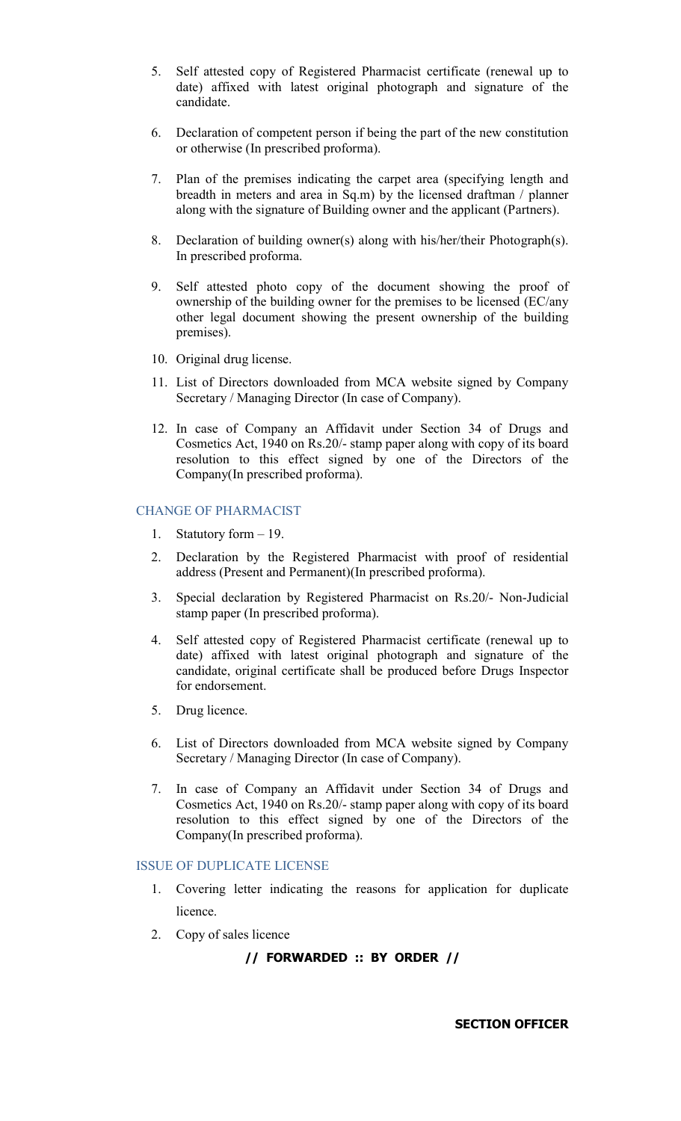- 5. Self attested copy of Registered Pharmacist certificate (renewal up to date) affixed with latest original photograph and signature of the candidate.
- 6. Declaration of competent person if being the part of the new constitution or otherwise (In prescribed proforma).
- 7. Plan of the premises indicating the carpet area (specifying length and breadth in meters and area in Sq.m) by the licensed draftman / planner along with the signature of Building owner and the applicant (Partners).
- 8. Declaration of building owner(s) along with his/her/their Photograph(s). In prescribed proforma.
- 9. Self attested photo copy of the document showing the proof of ownership of the building owner for the premises to be licensed (EC/any other legal document showing the present ownership of the building premises).
- 10. Original drug license.
- 11. List of Directors downloaded from MCA website signed by Company Secretary / Managing Director (In case of Company).
- 12. In case of Company an Affidavit under Section 34 of Drugs and Cosmetics Act, 1940 on Rs.20/- stamp paper along with copy of its board resolution to this effect signed by one of the Directors of the Company(In prescribed proforma).

#### CHANGE OF PHARMACIST

- 1. Statutory form 19.
- 2. Declaration by the Registered Pharmacist with proof of residential address (Present and Permanent)(In prescribed proforma).
- 3. Special declaration by Registered Pharmacist on Rs.20/- Non-Judicial stamp paper (In prescribed proforma).
- 4. Self attested copy of Registered Pharmacist certificate (renewal up to date) affixed with latest original photograph and signature of the candidate, original certificate shall be produced before Drugs Inspector for endorsement.
- 5. Drug licence.
- 6. List of Directors downloaded from MCA website signed by Company Secretary / Managing Director (In case of Company).
- 7. In case of Company an Affidavit under Section 34 of Drugs and Cosmetics Act, 1940 on Rs.20/- stamp paper along with copy of its board resolution to this effect signed by one of the Directors of the Company(In prescribed proforma).

## ISSUE OF DUPLICATE LICENSE

- 1. Covering letter indicating the reasons for application for duplicate licence.
- 2. Copy of sales licence

# **// FORWARDED :: BY ORDER //**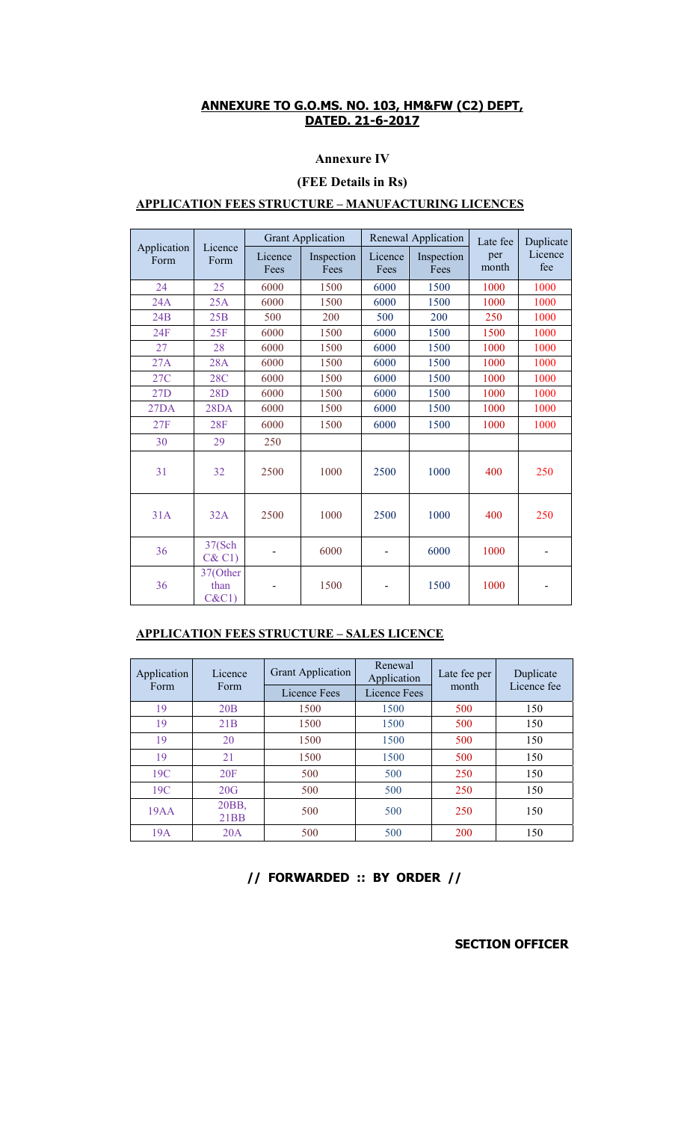# **Annexure IV**

# **(FEE Details in Rs)**

# **APPLICATION FEES STRUCTURE – MANUFACTURING LICENCES**

|                     | Licence<br>Form           | <b>Grant Application</b> |                    | Renewal Application |                    | Late fee     | Duplicate      |
|---------------------|---------------------------|--------------------------|--------------------|---------------------|--------------------|--------------|----------------|
| Application<br>Form |                           | Licence<br>Fees          | Inspection<br>Fees | Licence<br>Fees     | Inspection<br>Fees | per<br>month | Licence<br>fee |
| 24                  | 25                        | 6000                     | 1500               | 6000                | 1500               | 1000         | 1000           |
| 24A                 | 25A                       | 6000                     | 1500               | 6000                | 1500               | 1000         | 1000           |
| 24B                 | 25B                       | 500                      | 200                | 500                 | 200                | 250          | 1000           |
| 24F                 | 25F                       | 6000                     | 1500               | 6000                | 1500               | 1500         | 1000           |
| 27                  | 28                        | 6000                     | 1500               | 6000                | 1500               | 1000         | 1000           |
| 27A                 | <b>28A</b>                | 6000                     | 1500               | 6000                | 1500               | 1000         | 1000           |
| 27C                 | <b>28C</b>                | 6000                     | 1500               | 6000                | 1500               | 1000         | 1000           |
| 27D                 | 28D                       | 6000                     | 1500               | 6000                | 1500               | 1000         | 1000           |
| 27DA                | 28DA                      | 6000                     | 1500               | 6000                | 1500               | 1000         | 1000           |
| 27F                 | 28F                       | 6000                     | 1500               | 6000                | 1500               | 1000         | 1000           |
| 30                  | 29                        | 250                      |                    |                     |                    |              |                |
| 31                  | 32                        | 2500                     | 1000               | 2500                | 1000               | 400          | 250            |
| 31A                 | 32A                       | 2500                     | 1000               | 2500                | 1000               | 400          | 250            |
| 36                  | 37(Sch<br>C&C1)           |                          | 6000               |                     | 6000               | 1000         |                |
| 36                  | 37(Other<br>than<br>C&C1) |                          | 1500               |                     | 1500               | 1000         |                |

# **APPLICATION FEES STRUCTURE – SALES LICENCE**

| Application | Licence<br>Form | <b>Grant Application</b> | Renewal<br>Application | Late fee per | Duplicate<br>Licence fee |
|-------------|-----------------|--------------------------|------------------------|--------------|--------------------------|
| Form        |                 | Licence Fees             | Licence Fees           | month        |                          |
| 19          | 20B             | 1500                     | 1500                   | 500          | 150                      |
| 19          | 21B             | 1500                     | 1500                   | 500          | 150                      |
| 19          | 20              | 1500                     | 1500                   | 500          | 150                      |
| 19          | 21              | 1500                     | 1500                   | 500          | 150                      |
| 19C         | 20F             | 500                      | 500                    | 250          | 150                      |
| 19C         | 20G             | 500                      | 500                    | 250          | 150                      |
| 19AA        | 20BB,<br>21BB   | 500                      | 500                    | 250          | 150                      |
| 19A         | 20A             | 500                      | 500                    | 200          | 150                      |

# **// FORWARDED :: BY ORDER //**

**SECTION OFFICER**